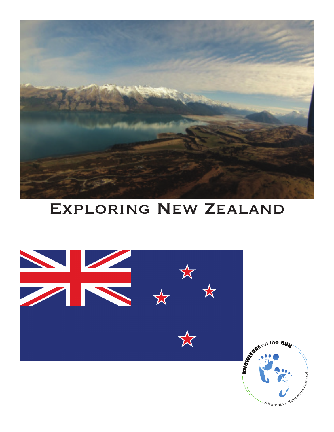

## Exploring New Zealand